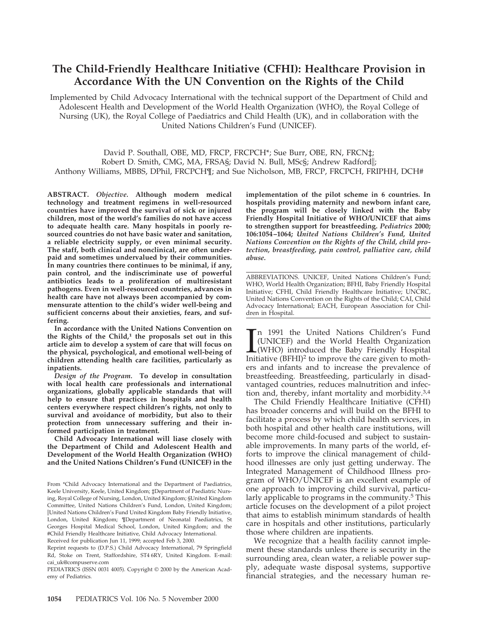# **The Child-Friendly Healthcare Initiative (CFHI): Healthcare Provision in Accordance With the UN Convention on the Rights of the Child**

Implemented by Child Advocacy International with the technical support of the Department of Child and Adolescent Health and Development of the World Health Organization (WHO), the Royal College of Nursing (UK), the Royal College of Paediatrics and Child Health (UK), and in collaboration with the United Nations Children's Fund (UNICEF).

David P. Southall, OBE, MD, FRCP, FRCPCH<sup>\*</sup>; Sue Burr, OBE, RN, FRCN $\ddagger$ ; Robert D. Smith, CMG, MA, FRSA§; David N. Bull, MSc§; Andrew Radfordi; Anthony Williams, MBBS, DPhil, FRCPCH¶; and Sue Nicholson, MB, FRCP, FRCPCH, FRIPHH, DCH#

**ABSTRACT.** *Objective.* **Although modern medical technology and treatment regimens in well-resourced countries have improved the survival of sick or injured children, most of the world's families do not have access to adequate health care. Many hospitals in poorly resourced countries do not have basic water and sanitation, a reliable electricity supply, or even minimal security. The staff, both clinical and nonclinical, are often underpaid and sometimes undervalued by their communities. In many countries there continues to be minimal, if any, pain control, and the indiscriminate use of powerful antibiotics leads to a proliferation of multiresistant pathogens. Even in well-resourced countries, advances in health care have not always been accompanied by commensurate attention to the child's wider well-being and sufficient concerns about their anxieties, fears, and suffering.**

**In accordance with the United Nations Convention on** the Rights of the Child,<sup>1</sup> the proposals set out in this **article aim to develop a system of care that will focus on the physical, psychological, and emotional well-being of children attending health care facilities, particularly as inpatients.**

*Design of the Program.* **To develop in consultation with local health care professionals and international organizations, globally applicable standards that will help to ensure that practices in hospitals and health centers everywhere respect children's rights, not only to survival and avoidance of morbidity, but also to their protection from unnecessary suffering and their informed participation in treatment.**

**Child Advocacy International will liase closely with the Department of Child and Adolescent Health and Development of the World Health Organization (WHO) and the United Nations Children's Fund (UNICEF) in the**

Reprint requests to (D.P.S.) Child Advocacy International, 79 Springfield Rd, Stoke on Trent, Staffordshire, ST4 6RY, United Kingdom. E-mail: cai\_uk@compuserve.com

PEDIATRICS (ISSN 0031 4005). Copyright © 2000 by the American Academy of Pediatrics.

**implementation of the pilot scheme in 6 countries. In hospitals providing maternity and newborn infant care, the program will be closely linked with the Baby Friendly Hospital Initiative of WHO/UNICEF that aims to strengthen support for breastfeeding.** *Pediatrics* **2000; 106:1054–1064;** *United Nations Children's Fund, United Nations Convention on the Rights of the Child, child protection, breastfeeding, pain control, palliative care, child abuse.*

ABBREVIATIONS. UNICEF, United Nations Children's Fund; WHO, World Health Organization; BFHI, Baby Friendly Hospital Initiative; CFHI, Child Friendly Healthcare Initiative; UNCRC, United Nations Convention on the Rights of the Child; CAI, Child Advocacy International; EACH, European Association for Children in Hospital.

 $\prod_{\text{Init}}$ n 1991 the United Nations Children's Fund (UNICEF) and the World Health Organization (WHO) introduced the Baby Friendly Hospital Initiative  $(BFHI)^2$  to improve the care given to mothers and infants and to increase the prevalence of breastfeeding. Breastfeeding, particularly in disadvantaged countries, reduces malnutrition and infection and, thereby, infant mortality and morbidity.3,4

The Child Friendly Healthcare Initiative (CFHI) has broader concerns and will build on the BFHI to facilitate a process by which child health services, in both hospital and other health care institutions, will become more child-focused and subject to sustainable improvements. In many parts of the world, efforts to improve the clinical management of childhood illnesses are only just getting underway. The Integrated Management of Childhood Illness program of WHO/UNICEF is an excellent example of one approach to improving child survival, particularly applicable to programs in the community.<sup>5</sup> This article focuses on the development of a pilot project that aims to establish minimum standards of health care in hospitals and other institutions, particularly those where children are inpatients.

We recognize that a health facility cannot implement these standards unless there is security in the surrounding area, clean water, a reliable power supply, adequate waste disposal systems, supportive financial strategies, and the necessary human re-

From \*Child Advocacy International and the Department of Paediatrics, Keele University, Keele, United Kingdom; ‡Department of Paediatric Nursing, Royal College of Nursing, London, United Kingdom; §United Kingdom Committee, United Nations Children's Fund, London, United Kingdom; iUnited Nations Children's Fund United Kingdom Baby Friendly Initiative, London, United Kingdom; ¶Department of Neonatal Paediatrics, St Georges Hospital Medical School, London, United Kingdom; and the #Child Friendly Healthcare Initiative, Child Advocacy International. Received for publication Jun 11, 1999; accepted Feb 3, 2000.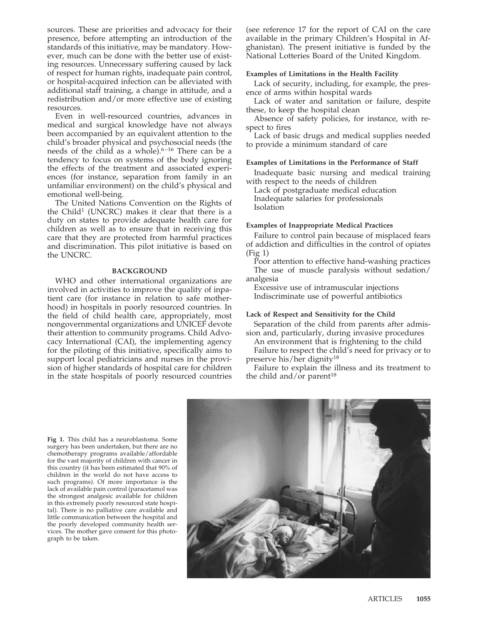sources. These are priorities and advocacy for their presence, before attempting an introduction of the standards of this initiative, may be mandatory. However, much can be done with the better use of existing resources. Unnecessary suffering caused by lack of respect for human rights, inadequate pain control, or hospital-acquired infection can be alleviated with additional staff training, a change in attitude, and a redistribution and/or more effective use of existing resources.

Even in well-resourced countries, advances in medical and surgical knowledge have not always been accompanied by an equivalent attention to the child's broader physical and psychosocial needs (the needs of the child as a whole). $6-16$  There can be a tendency to focus on systems of the body ignoring the effects of the treatment and associated experiences (for instance, separation from family in an unfamiliar environment) on the child's physical and emotional well-being.

The United Nations Convention on the Rights of the Child<sup>1</sup> (UNCRC) makes it clear that there is a duty on states to provide adequate health care for children as well as to ensure that in receiving this care that they are protected from harmful practices and discrimination. This pilot initiative is based on the UNCRC.

#### **BACKGROUND**

WHO and other international organizations are involved in activities to improve the quality of inpatient care (for instance in relation to safe motherhood) in hospitals in poorly resourced countries. In the field of child health care, appropriately, most nongovernmental organizations and UNICEF devote their attention to community programs. Child Advocacy International (CAI), the implementing agency for the piloting of this initiative, specifically aims to support local pediatricians and nurses in the provision of higher standards of hospital care for children in the state hospitals of poorly resourced countries

(see reference 17 for the report of CAI on the care available in the primary Children's Hospital in Afghanistan). The present initiative is funded by the National Lotteries Board of the United Kingdom.

#### **Examples of Limitations in the Health Facility**

Lack of security, including, for example, the presence of arms within hospital wards

Lack of water and sanitation or failure, despite these, to keep the hospital clean

Absence of safety policies, for instance, with respect to fires

Lack of basic drugs and medical supplies needed to provide a minimum standard of care

#### **Examples of Limitations in the Performance of Staff**

Inadequate basic nursing and medical training with respect to the needs of children

Lack of postgraduate medical education Inadequate salaries for professionals Isolation

#### **Examples of Inappropriate Medical Practices**

Failure to control pain because of misplaced fears of addiction and difficulties in the control of opiates (Fig 1)

Poor attention to effective hand-washing practices The use of muscle paralysis without sedation/ analgesia

Excessive use of intramuscular injections Indiscriminate use of powerful antibiotics

#### **Lack of Respect and Sensitivity for the Child**

Separation of the child from parents after admission and, particularly, during invasive procedures

An environment that is frightening to the child Failure to respect the child's need for privacy or to

preserve his/her dignity<sup>18</sup> Failure to explain the illness and its treatment to

**Fig 1.** This child has a neuroblastoma. Some surgery has been undertaken, but there are no chemotherapy programs available/affordable for the vast majority of children with cancer in this country (it has been estimated that 90% of children in the world do not have access to such programs). Of more importance is the lack of available pain control (paracetamol was the strongest analgesic available for children in this extremely poorly resourced state hospital). There is no palliative care available and little communication between the hospital and the poorly developed community health services. The mother gave consent for this photograph to be taken.



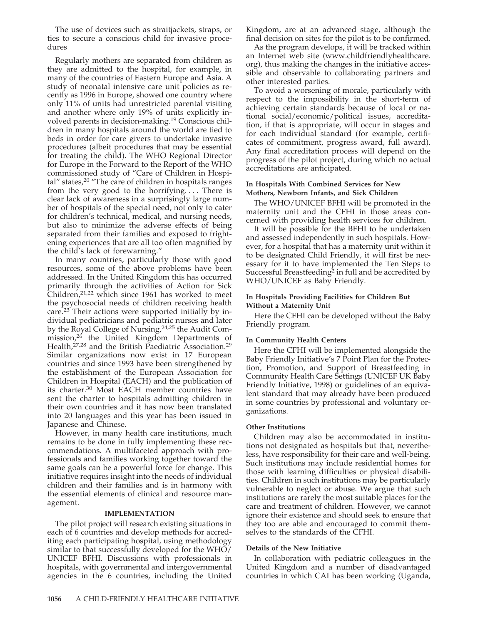The use of devices such as straitjackets, straps, or ties to secure a conscious child for invasive procedures

Regularly mothers are separated from children as they are admitted to the hospital, for example, in many of the countries of Eastern Europe and Asia. A study of neonatal intensive care unit policies as recently as 1996 in Europe, showed one country where only 11% of units had unrestricted parental visiting and another where only 19% of units explicitly involved parents in decision-making.19 Conscious children in many hospitals around the world are tied to beds in order for care givers to undertake invasive procedures (albeit procedures that may be essential for treating the child). The WHO Regional Director for Europe in the Forward to the Report of the WHO commissioned study of "Care of Children in Hospital" states,<sup>20</sup> "The care of children in hospitals ranges from the very good to the horrifying.... There is clear lack of awareness in a surprisingly large number of hospitals of the special need, not only to cater for children's technical, medical, and nursing needs, but also to minimize the adverse effects of being separated from their families and exposed to frightening experiences that are all too often magnified by the child's lack of forewarning."

In many countries, particularly those with good resources, some of the above problems have been addressed. In the United Kingdom this has occurred primarily through the activities of Action for Sick Children,<sup>21,22</sup> which since 1961 has worked to meet the psychosocial needs of children receiving health care.23 Their actions were supported initially by individual pediatricians and pediatric nurses and later by the Royal College of Nursing,<sup>24,25</sup> the Audit Commission,<sup>26</sup> the United Kingdom Departments of Health,<sup>27,28</sup> and the British Paediatric Association.<sup>29</sup> Similar organizations now exist in 17 European countries and since 1993 have been strengthened by the establishment of the European Association for Children in Hospital (EACH) and the publication of its charter.30 Most EACH member countries have sent the charter to hospitals admitting children in their own countries and it has now been translated into 20 languages and this year has been issued in Japanese and Chinese.

However, in many health care institutions, much remains to be done in fully implementing these recommendations. A multifaceted approach with professionals and families working together toward the same goals can be a powerful force for change. This initiative requires insight into the needs of individual children and their families and is in harmony with the essential elements of clinical and resource management.

#### **IMPLEMENTATION**

The pilot project will research existing situations in each of 6 countries and develop methods for accrediting each participating hospital, using methodology similar to that successfully developed for the WHO/ UNICEF BFHI. Discussions with professionals in hospitals, with governmental and intergovernmental agencies in the 6 countries, including the United Kingdom, are at an advanced stage, although the final decision on sites for the pilot is to be confirmed.

As the program develops, it will be tracked within an Internet web site (www.childfriendlyhealthcare. org), thus making the changes in the initiative accessible and observable to collaborating partners and other interested parties.

To avoid a worsening of morale, particularly with respect to the impossibility in the short-term of achieving certain standards because of local or national social/economic/political issues, accreditation, if that is appropriate, will occur in stages and for each individual standard (for example, certificates of commitment, progress award, full award). Any final accreditation process will depend on the progress of the pilot project, during which no actual accreditations are anticipated.

#### **In Hospitals With Combined Services for New Mothers, Newborn Infants, and Sick Children**

The WHO/UNICEF BFHI will be promoted in the maternity unit and the CFHI in those areas concerned with providing health services for children.

It will be possible for the BFHI to be undertaken and assessed independently in such hospitals. However, for a hospital that has a maternity unit within it to be designated Child Friendly, it will first be necessary for it to have implemented the Ten Steps to Successful Breastfeeding<sup>2</sup> in full and be accredited by WHO/UNICEF as Baby Friendly.

#### **In Hospitals Providing Facilities for Children But Without a Maternity Unit**

Here the CFHI can be developed without the Baby Friendly program.

#### **In Community Health Centers**

Here the CFHI will be implemented alongside the Baby Friendly Initiative's 7 Point Plan for the Protection, Promotion, and Support of Breastfeeding in Community Health Care Settings (UNICEF UK Baby Friendly Initiative, 1998) or guidelines of an equivalent standard that may already have been produced in some countries by professional and voluntary organizations.

#### **Other Institutions**

Children may also be accommodated in institutions not designated as hospitals but that, nevertheless, have responsibility for their care and well-being. Such institutions may include residential homes for those with learning difficulties or physical disabilities. Children in such institutions may be particularly vulnerable to neglect or abuse. We argue that such institutions are rarely the most suitable places for the care and treatment of children. However, we cannot ignore their existence and should seek to ensure that they too are able and encouraged to commit themselves to the standards of the CFHI.

#### **Details of the New Initiative**

In collaboration with pediatric colleagues in the United Kingdom and a number of disadvantaged countries in which CAI has been working (Uganda,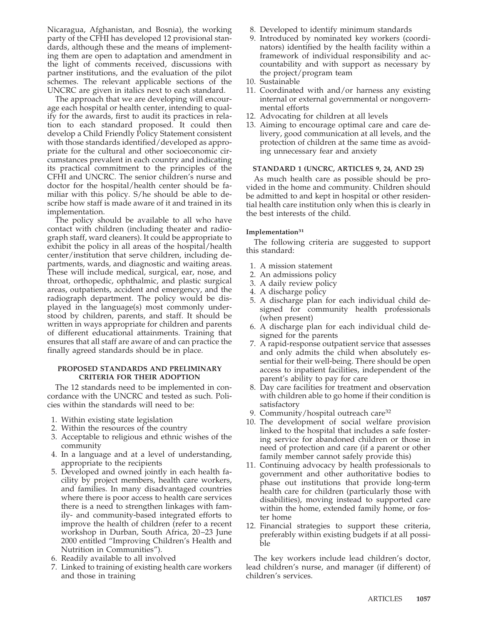Nicaragua, Afghanistan, and Bosnia), the working party of the CFHI has developed 12 provisional standards, although these and the means of implementing them are open to adaptation and amendment in the light of comments received, discussions with partner institutions, and the evaluation of the pilot schemes. The relevant applicable sections of the UNCRC are given in italics next to each standard.

The approach that we are developing will encourage each hospital or health center, intending to qualify for the awards, first to audit its practices in relation to each standard proposed. It could then develop a Child Friendly Policy Statement consistent with those standards identified/developed as appropriate for the cultural and other socioeconomic circumstances prevalent in each country and indicating its practical commitment to the principles of the CFHI and UNCRC. The senior children's nurse and doctor for the hospital/health center should be familiar with this policy. S/he should be able to describe how staff is made aware of it and trained in its implementation.

The policy should be available to all who have contact with children (including theater and radiograph staff, ward cleaners). It could be appropriate to exhibit the policy in all areas of the hospital/health center/institution that serve children, including departments, wards, and diagnostic and waiting areas. These will include medical, surgical, ear, nose, and throat, orthopedic, ophthalmic, and plastic surgical areas, outpatients, accident and emergency, and the radiograph department. The policy would be displayed in the language(s) most commonly understood by children, parents, and staff. It should be written in ways appropriate for children and parents of different educational attainments. Training that ensures that all staff are aware of and can practice the finally agreed standards should be in place.

#### **PROPOSED STANDARDS AND PRELIMINARY CRITERIA FOR THEIR ADOPTION**

The 12 standards need to be implemented in concordance with the UNCRC and tested as such. Policies within the standards will need to be:

- 1. Within existing state legislation
- 2. Within the resources of the country
- 3. Acceptable to religious and ethnic wishes of the community
- 4. In a language and at a level of understanding, appropriate to the recipients
- 5. Developed and owned jointly in each health facility by project members, health care workers, and families. In many disadvantaged countries where there is poor access to health care services there is a need to strengthen linkages with family- and community-based integrated efforts to improve the health of children (refer to a recent workshop in Durban, South Africa, 20–23 June 2000 entitled "Improving Children's Health and Nutrition in Communities").
- 6. Readily available to all involved
- 7. Linked to training of existing health care workers and those in training
- 8. Developed to identify minimum standards
- 9. Introduced by nominated key workers (coordinators) identified by the health facility within a framework of individual responsibility and accountability and with support as necessary by the project/program team
- 10. Sustainable
- 11. Coordinated with and/or harness any existing internal or external governmental or nongovernmental efforts
- 12. Advocating for children at all levels
- 13. Aiming to encourage optimal care and care delivery, good communication at all levels, and the protection of children at the same time as avoiding unnecessary fear and anxiety

### **STANDARD 1 (UNCRC, ARTICLES 9, 24, AND 25)**

As much health care as possible should be provided in the home and community. Children should be admitted to and kept in hospital or other residential health care institution only when this is clearly in the best interests of the child.

### **Implementation31**

The following criteria are suggested to support this standard:

- 1. A mission statement
- 2. An admissions policy
- 3. A daily review policy
- 4. A discharge policy
- 5. A discharge plan for each individual child designed for community health professionals (when present)
- 6. A discharge plan for each individual child designed for the parents
- 7. A rapid-response outpatient service that assesses and only admits the child when absolutely essential for their well-being. There should be open access to inpatient facilities, independent of the parent's ability to pay for care
- 8. Day care facilities for treatment and observation with children able to go home if their condition is satisfactory
- 9. Community/hospital outreach care<sup>32</sup>
- 10. The development of social welfare provision linked to the hospital that includes a safe fostering service for abandoned children or those in need of protection and care (if a parent or other family member cannot safely provide this)
- 11. Continuing advocacy by health professionals to government and other authoritative bodies to phase out institutions that provide long-term health care for children (particularly those with disabilities), moving instead to supported care within the home, extended family home, or foster home
- 12. Financial strategies to support these criteria, preferably within existing budgets if at all possible

The key workers include lead children's doctor, lead children's nurse, and manager (if different) of children's services.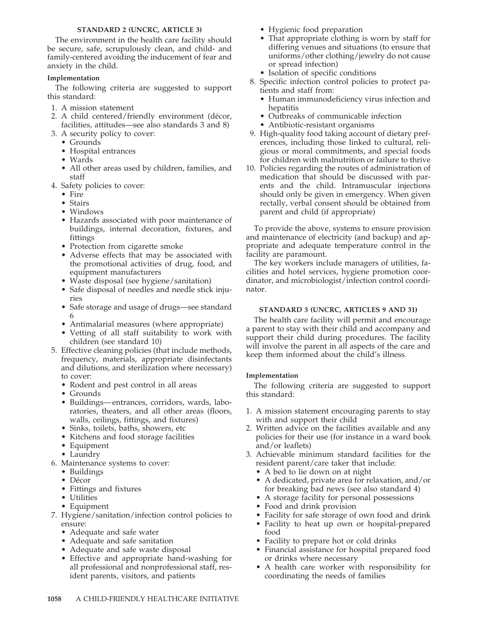#### **STANDARD 2 (UNCRC, ARTICLE 3)**

The environment in the health care facility should be secure, safe, scrupulously clean, and child- and family-centered avoiding the inducement of fear and anxiety in the child.

## **Implementation**

The following criteria are suggested to support this standard:

- 1. A mission statement
- 2. A child centered/friendly environment (décor, facilities, attitudes—see also standards 3 and 8)
- 3. A security policy to cover:
	- Grounds
	- Hospital entrances
	- Wards
	- All other areas used by children, families, and staff
- 4. Safety policies to cover:
	- Fire
	- Stairs
	- Windows
	- Hazards associated with poor maintenance of buildings, internal decoration, fixtures, and fittings
	- Protection from cigarette smoke
	- Adverse effects that may be associated with the promotional activities of drug, food, and equipment manufacturers
	- Waste disposal (see hygiene/sanitation)
	- Safe disposal of needles and needle stick injuries
	- Safe storage and usage of drugs—see standard 6
	- Antimalarial measures (where appropriate)
	- Vetting of all staff suitability to work with children (see standard 10)
- 5. Effective cleaning policies (that include methods, frequency, materials, appropriate disinfectants and dilutions, and sterilization where necessary) to cover:
	- Rodent and pest control in all areas
	- Grounds
	- Buildings—entrances, corridors, wards, laboratories, theaters, and all other areas (floors, walls, ceilings, fittings, and fixtures)
	- Sinks, toilets, baths, showers, etc
	- Kitchens and food storage facilities
	- Equipment
	- Laundry
- 6. Maintenance systems to cover:
	- Buildings
	- Décor
	- Fittings and fixtures
	- Utilities
	- Equipment
- 7. Hygiene/sanitation/infection control policies to ensure:
	- Adequate and safe water
	- Adequate and safe sanitation
	- Adequate and safe waste disposal
	- Effective and appropriate hand-washing for all professional and nonprofessional staff, resident parents, visitors, and patients
- Hygienic food preparation
- That appropriate clothing is worn by staff for differing venues and situations (to ensure that uniforms/other clothing/jewelry do not cause or spread infection)
- Isolation of specific conditions
- 8. Specific infection control policies to protect patients and staff from:
	- Human immunodeficiency virus infection and hepatitis
	- Outbreaks of communicable infection
	- Antibiotic-resistant organisms
- 9. High-quality food taking account of dietary preferences, including those linked to cultural, religious or moral commitments, and special foods for children with malnutrition or failure to thrive
- 10. Policies regarding the routes of administration of medication that should be discussed with parents and the child. Intramuscular injections should only be given in emergency. When given rectally, verbal consent should be obtained from parent and child (if appropriate)

To provide the above, systems to ensure provision and maintenance of electricity (and backup) and appropriate and adequate temperature control in the facility are paramount.

The key workers include managers of utilities, facilities and hotel services, hygiene promotion coordinator, and microbiologist/infection control coordinator.

## **STANDARD 3 (UNCRC, ARTICLES 9 AND 31)**

The health care facility will permit and encourage a parent to stay with their child and accompany and support their child during procedures. The facility will involve the parent in all aspects of the care and keep them informed about the child's illness.

## **Implementation**

The following criteria are suggested to support this standard:

- 1. A mission statement encouraging parents to stay with and support their child
- 2. Written advice on the facilities available and any policies for their use (for instance in a ward book and/or leaflets)
- 3. Achievable minimum standard facilities for the resident parent/care taker that include:
	- A bed to lie down on at night
	- A dedicated, private area for relaxation, and/or for breaking bad news (see also standard 4)
	- A storage facility for personal possessions
	- Food and drink provision
	- Facility for safe storage of own food and drink
	- Facility to heat up own or hospital-prepared food
	- Facility to prepare hot or cold drinks
	- Financial assistance for hospital prepared food or drinks where necessary
	- A health care worker with responsibility for coordinating the needs of families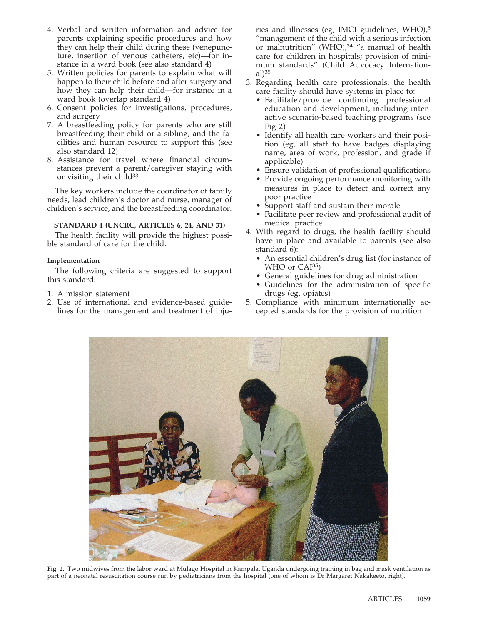- 4. Verbal and written information and advice for parents explaining specific procedures and how they can help their child during these (venepuncture, insertion of venous catheters, etc)—for instance in a ward book (see also standard 4)
- 5. Written policies for parents to explain what will happen to their child before and after surgery and how they can help their child—for instance in a ward book (overlap standard 4)
- 6. Consent policies for investigations, procedures, and surgery
- 7. A breastfeeding policy for parents who are still breastfeeding their child or a sibling, and the facilities and human resource to support this (see also standard 12)
- 8. Assistance for travel where financial circumstances prevent a parent/caregiver staying with or visiting their child $33$

The key workers include the coordinator of family needs, lead children's doctor and nurse, manager of children's service, and the breastfeeding coordinator.

## **STANDARD 4 (UNCRC, ARTICLES 6, 24, AND 31)**

The health facility will provide the highest possible standard of care for the child.

### **Implementation**

The following criteria are suggested to support this standard:

- 1. A mission statement
- 2. Use of international and evidence-based guidelines for the management and treatment of inju-

ries and illnesses (eg, IMCI guidelines, WHO),5 "management of the child with a serious infection or malnutrition" (WHO), $34$  "a manual of health care for children in hospitals; provision of minimum standards" (Child Advocacy International $)$ <sup>35</sup>

- 3. Regarding health care professionals, the health care facility should have systems in place to:
	- Facilitate/provide continuing professional education and development, including interactive scenario-based teaching programs (see Fig  $2)$
	- Identify all health care workers and their position (eg, all staff to have badges displaying name, area of work, profession, and grade if applicable)
	- Ensure validation of professional qualifications
	- Provide ongoing performance monitoring with measures in place to detect and correct any poor practice
	- Support staff and sustain their morale
	- Facilitate peer review and professional audit of medical practice
- 4. With regard to drugs, the health facility should have in place and available to parents (see also standard 6):
	- An essential children's drug list (for instance of WHO or CAI<sup>35</sup>)
	- General guidelines for drug administration
	- Guidelines for the administration of specific drugs (eg, opiates)
- 5. Compliance with minimum internationally accepted standards for the provision of nutrition



**Fig 2.** Two midwives from the labor ward at Mulago Hospital in Kampala, Uganda undergoing training in bag and mask ventilation as part of a neonatal resuscitation course run by pediatricians from the hospital (one of whom is Dr Margaret Nakakeeto, right).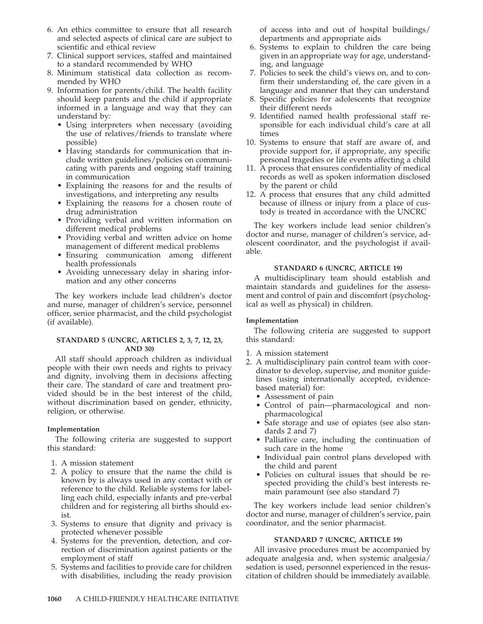- 6. An ethics committee to ensure that all research and selected aspects of clinical care are subject to scientific and ethical review
- 7. Clinical support services, staffed and maintained to a standard recommended by WHO
- 8. Minimum statistical data collection as recommended by WHO
- 9. Information for parents/child. The health facility should keep parents and the child if appropriate informed in a language and way that they can understand by:
	- Using interpreters when necessary (avoiding the use of relatives/friends to translate where possible)
	- Having standards for communication that include written guidelines/policies on communicating with parents and ongoing staff training in communication
	- Explaining the reasons for and the results of investigations, and interpreting any results
	- Explaining the reasons for a chosen route of drug administration
	- Providing verbal and written information on different medical problems
	- Providing verbal and written advice on home management of different medical problems
	- Ensuring communication among different health professionals
	- Avoiding unnecessary delay in sharing information and any other concerns

The key workers include lead children's doctor and nurse, manager of children's service, personnel officer, senior pharmacist, and the child psychologist (if available).

#### **STANDARD 5 (UNCRC, ARTICLES 2, 3, 7, 12, 23, AND 30)**

All staff should approach children as individual people with their own needs and rights to privacy and dignity, involving them in decisions affecting their care. The standard of care and treatment provided should be in the best interest of the child, without discrimination based on gender, ethnicity, religion, or otherwise.

#### **Implementation**

The following criteria are suggested to support this standard:

- 1. A mission statement
- 2. A policy to ensure that the name the child is known by is always used in any contact with or reference to the child. Reliable systems for labelling each child, especially infants and pre-verbal children and for registering all births should exist.
- 3. Systems to ensure that dignity and privacy is protected whenever possible
- 4. Systems for the prevention, detection, and correction of discrimination against patients or the employment of staff
- 5. Systems and facilities to provide care for children with disabilities, including the ready provision

of access into and out of hospital buildings/ departments and appropriate aids

- 6. Systems to explain to children the care being given in an appropriate way for age, understanding, and language
- 7. Policies to seek the child's views on, and to confirm their understanding of, the care given in a language and manner that they can understand
- 8. Specific policies for adolescents that recognize their different needs
- 9. Identified named health professional staff responsible for each individual child's care at all times
- 10. Systems to ensure that staff are aware of, and provide support for, if appropriate, any specific personal tragedies or life events affecting a child
- 11. A process that ensures confidentiality of medical records as well as spoken information disclosed by the parent or child
- 12. A process that ensures that any child admitted because of illness or injury from a place of custody is treated in accordance with the UNCRC

The key workers include lead senior children's doctor and nurse, manager of children's service, adolescent coordinator, and the psychologist if available.

#### **STANDARD 6 (UNCRC, ARTICLE 19)**

A multidisciplinary team should establish and maintain standards and guidelines for the assessment and control of pain and discomfort (psychological as well as physical) in children.

#### **Implementation**

The following criteria are suggested to support this standard:

- 1. A mission statement
- 2. A multidisciplinary pain control team with coordinator to develop, supervise, and monitor guidelines (using internationally accepted, evidencebased material) for:
	- Assessment of pain
	- Control of pain—pharmacological and nonpharmacological
	- Safe storage and use of opiates (see also standards 2 and 7)
	- Palliative care, including the continuation of such care in the home
	- Individual pain control plans developed with the child and parent
	- Policies on cultural issues that should be respected providing the child's best interests remain paramount (see also standard 7)

The key workers include lead senior children's doctor and nurse, manager of children's service, pain coordinator, and the senior pharmacist.

#### **STANDARD 7 (UNCRC, ARTICLE 19)**

All invasive procedures must be accompanied by adequate analgesia and, when systemic analgesia/ sedation is used, personnel experienced in the resuscitation of children should be immediately available.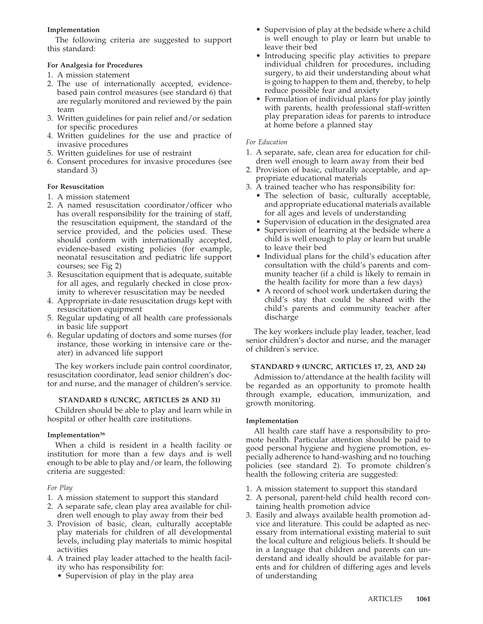## **Implementation**

The following criteria are suggested to support this standard:

#### **For Analgesia for Procedures**

- 1. A mission statement
- 2. The use of internationally accepted, evidencebased pain control measures (see standard 6) that are regularly monitored and reviewed by the pain team
- 3. Written guidelines for pain relief and/or sedation for specific procedures
- 4. Written guidelines for the use and practice of invasive procedures
- 5. Written guidelines for use of restraint
- 6. Consent procedures for invasive procedures (see standard<sup>3</sup>)

### **For Resuscitation**

- 1. A mission statement
- 2. A named resuscitation coordinator/officer who has overall responsibility for the training of staff, the resuscitation equipment, the standard of the service provided, and the policies used. These should conform with internationally accepted, evidence-based existing policies (for example, neonatal resuscitation and pediatric life support courses; see Fig 2)
- 3. Resuscitation equipment that is adequate, suitable for all ages, and regularly checked in close proximity to wherever resuscitation may be needed
- 4. Appropriate in-date resuscitation drugs kept with resuscitation equipment
- 5. Regular updating of all health care professionals in basic life support
- 6. Regular updating of doctors and some nurses (for instance, those working in intensive care or theater) in advanced life support

The key workers include pain control coordinator, resuscitation coordinator, lead senior children's doctor and nurse, and the manager of children's service.

#### **STANDARD 8 (UNCRC, ARTICLES 28 AND 31)**

Children should be able to play and learn while in hospital or other health care institutions.

#### **Implementation36**

When a child is resident in a health facility or institution for more than a few days and is well enough to be able to play and/or learn, the following criteria are suggested:

#### *For Play*

- 1. A mission statement to support this standard
- 2. A separate safe, clean play area available for children well enough to play away from their bed
- 3. Provision of basic, clean, culturally acceptable play materials for children of all developmental levels, including play materials to mimic hospital activities
- 4. A trained play leader attached to the health facility who has responsibility for:
	- Supervision of play in the play area
- Supervision of play at the bedside where a child is well enough to play or learn but unable to leave their bed
- Introducing specific play activities to prepare individual children for procedures, including surgery, to aid their understanding about what is going to happen to them and, thereby, to help reduce possible fear and anxiety
- Formulation of individual plans for play jointly with parents, health professional staff-written play preparation ideas for parents to introduce at home before a planned stay

## *For Education*

- 1. A separate, safe, clean area for education for children well enough to learn away from their bed
- 2. Provision of basic, culturally acceptable, and appropriate educational materials
- 3. A trained teacher who has responsibility for:
	- The selection of basic, culturally acceptable, and appropriate educational materials available for all ages and levels of understanding
	- Supervision of education in the designated area
	- Supervision of learning at the bedside where a child is well enough to play or learn but unable to leave their bed
	- Individual plans for the child's education after consultation with the child's parents and community teacher (if a child is likely to remain in the health facility for more than a few days)
	- A record of school work undertaken during the child's stay that could be shared with the child's parents and community teacher after discharge

The key workers include play leader, teacher, lead senior children's doctor and nurse, and the manager of children's service.

## **STANDARD 9 (UNCRC, ARTICLES 17, 23, AND 24)**

Admission to/attendance at the health facility will be regarded as an opportunity to promote health through example, education, immunization, and growth monitoring.

#### **Implementation**

All health care staff have a responsibility to promote health. Particular attention should be paid to good personal hygiene and hygiene promotion, especially adherence to hand-washing and no touching policies (see standard 2). To promote children's health the following criteria are suggested:

- 1. A mission statement to support this standard
- 2. A personal, parent-held child health record containing health promotion advice
- 3. Easily and always available health promotion advice and literature. This could be adapted as necessary from international existing material to suit the local culture and religious beliefs. It should be in a language that children and parents can understand and ideally should be available for parents and for children of differing ages and levels of understanding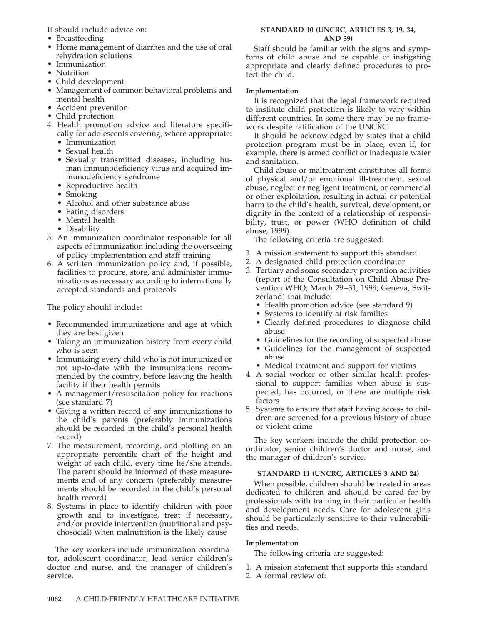It should include advice on:

- Breastfeeding
- Home management of diarrhea and the use of oral rehydration solutions
- Immunization
- Nutrition
- Child development
- Management of common behavioral problems and mental health
- Accident prevention
- Child protection
- 4. Health promotion advice and literature specifically for adolescents covering, where appropriate:
	- Immunization
	- Sexual health
	- Sexually transmitted diseases, including human immunodeficiency virus and acquired immunodeficiency syndrome
	- Reproductive health
	- Smoking
	- Alcohol and other substance abuse
	- Eating disorders
	- Mental health
	- Disability
- 5. An immunization coordinator responsible for all aspects of immunization including the overseeing of policy implementation and staff training
- 6. A written immunization policy and, if possible, facilities to procure, store, and administer immunizations as necessary according to internationally accepted standards and protocols

The policy should include:

- Recommended immunizations and age at which they are best given
- Taking an immunization history from every child who is seen
- Immunizing every child who is not immunized or not up-to-date with the immunizations recommended by the country, before leaving the health facility if their health permits
- A management/resuscitation policy for reactions (see standard 7)
- Giving a written record of any immunizations to the child's parents (preferably immunizations should be recorded in the child's personal health record)
- 7. The measurement, recording, and plotting on an appropriate percentile chart of the height and weight of each child, every time he/she attends. The parent should be informed of these measurements and of any concern (preferably measurements should be recorded in the child's personal health record)
- 8. Systems in place to identify children with poor growth and to investigate, treat if necessary, and/or provide intervention (nutritional and psychosocial) when malnutrition is the likely cause

The key workers include immunization coordinator, adolescent coordinator, lead senior children's doctor and nurse, and the manager of children's service.

#### **STANDARD 10 (UNCRC, ARTICLES 3, 19, 34, AND 39)**

Staff should be familiar with the signs and symptoms of child abuse and be capable of instigating appropriate and clearly defined procedures to protect the child.

#### **Implementation**

It is recognized that the legal framework required to institute child protection is likely to vary within different countries. In some there may be no framework despite ratification of the UNCRC.

It should be acknowledged by states that a child protection program must be in place, even if, for example, there is armed conflict or inadequate water and sanitation.

Child abuse or maltreatment constitutes all forms of physical and/or emotional ill-treatment, sexual abuse, neglect or negligent treatment, or commercial or other exploitation, resulting in actual or potential harm to the child's health, survival, development, or dignity in the context of a relationship of responsibility, trust, or power (WHO definition of child abuse, 1999).

The following criteria are suggested:

- 1. A mission statement to support this standard
- 2. A designated child protection coordinator
- 3. Tertiary and some secondary prevention activities (report of the Consultation on Child Abuse Prevention WHO; March 29–31, 1999; Geneva, Switzerland) that include:
	- Health promotion advice (see standard 9)
	- Systems to identify at-risk families
	- Clearly defined procedures to diagnose child abuse
	- Guidelines for the recording of suspected abuse
	- Guidelines for the management of suspected abuse
	- Medical treatment and support for victims
- 4. A social worker or other similar health professional to support families when abuse is suspected, has occurred, or there are multiple risk factors
- 5. Systems to ensure that staff having access to children are screened for a previous history of abuse or violent crime

The key workers include the child protection coordinator, senior children's doctor and nurse, and the manager of children's service.

## **STANDARD 11 (UNCRC, ARTICLES 3 AND 24)**

When possible, children should be treated in areas dedicated to children and should be cared for by professionals with training in their particular health and development needs. Care for adolescent girls should be particularly sensitive to their vulnerabilities and needs.

#### **Implementation**

The following criteria are suggested:

- 1. A mission statement that supports this standard
- 2. A formal review of: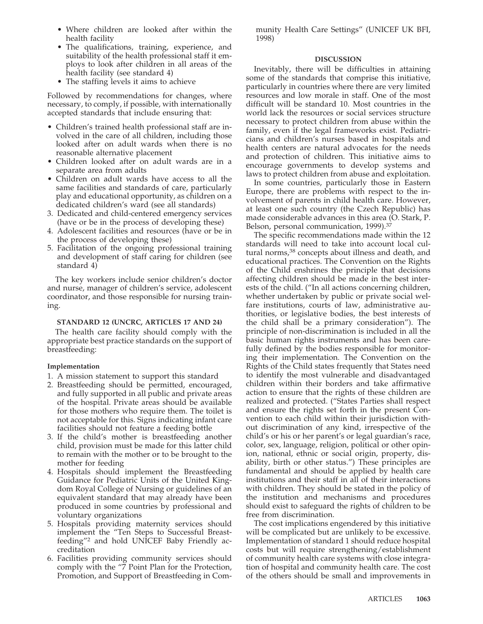- Where children are looked after within the health facility
- The qualifications, training, experience, and suitability of the health professional staff it employs to look after children in all areas of the health facility (see standard 4)
- The staffing levels it aims to achieve

Followed by recommendations for changes, where necessary, to comply, if possible, with internationally accepted standards that include ensuring that:

- Children's trained health professional staff are involved in the care of all children, including those looked after on adult wards when there is no reasonable alternative placement
- Children looked after on adult wards are in a separate area from adults
- Children on adult wards have access to all the same facilities and standards of care, particularly play and educational opportunity, as children on a dedicated children's ward (see all standards)
- 3. Dedicated and child-centered emergency services (have or be in the process of developing these)
- 4. Adolescent facilities and resources (have or be in the process of developing these)
- 5. Facilitation of the ongoing professional training and development of staff caring for children (see standard 4)

The key workers include senior children's doctor and nurse, manager of children's service, adolescent coordinator, and those responsible for nursing training.

#### **STANDARD 12 (UNCRC, ARTICLES 17 AND 24)**

The health care facility should comply with the appropriate best practice standards on the support of breastfeeding:

#### **Implementation**

- 1. A mission statement to support this standard
- 2. Breastfeeding should be permitted, encouraged, and fully supported in all public and private areas of the hospital. Private areas should be available for those mothers who require them. The toilet is not acceptable for this. Signs indicating infant care facilities should not feature a feeding bottle
- 3. If the child's mother is breastfeeding another child, provision must be made for this latter child to remain with the mother or to be brought to the mother for feeding
- 4. Hospitals should implement the Breastfeeding Guidance for Pediatric Units of the United Kingdom Royal College of Nursing or guidelines of an equivalent standard that may already have been produced in some countries by professional and voluntary organizations
- 5. Hospitals providing maternity services should implement the "Ten Steps to Successful Breastfeeding"2 and hold UNICEF Baby Friendly accreditation
- 6. Facilities providing community services should comply with the "7 Point Plan for the Protection, Promotion, and Support of Breastfeeding in Com-

munity Health Care Settings" (UNICEF UK BFI, 1998)

#### **DISCUSSION**

Inevitably, there will be difficulties in attaining some of the standards that comprise this initiative, particularly in countries where there are very limited resources and low morale in staff. One of the most difficult will be standard 10. Most countries in the world lack the resources or social services structure necessary to protect children from abuse within the family, even if the legal frameworks exist. Pediatricians and children's nurses based in hospitals and health centers are natural advocates for the needs and protection of children. This initiative aims to encourage governments to develop systems and laws to protect children from abuse and exploitation.

In some countries, particularly those in Eastern Europe, there are problems with respect to the involvement of parents in child health care. However, at least one such country (the Czech Republic) has made considerable advances in this area (O. Stark, P. Belson, personal communication, 1999).<sup>37</sup>

The specific recommendations made within the 12 standards will need to take into account local cultural norms,<sup>38</sup> concepts about illness and death, and educational practices. The Convention on the Rights of the Child enshrines the principle that decisions affecting children should be made in the best interests of the child. ("In all actions concerning children, whether undertaken by public or private social welfare institutions, courts of law, administrative authorities, or legislative bodies, the best interests of the child shall be a primary consideration"). The principle of non-discrimination is included in all the basic human rights instruments and has been carefully defined by the bodies responsible for monitoring their implementation. The Convention on the Rights of the Child states frequently that States need to identify the most vulnerable and disadvantaged children within their borders and take affirmative action to ensure that the rights of these children are realized and protected. ("States Parties shall respect and ensure the rights set forth in the present Convention to each child within their jurisdiction without discrimination of any kind, irrespective of the child's or his or her parent's or legal guardian's race, color, sex, language, religion, political or other opinion, national, ethnic or social origin, property, disability, birth or other status.") These principles are fundamental and should be applied by health care institutions and their staff in all of their interactions with children. They should be stated in the policy of the institution and mechanisms and procedures should exist to safeguard the rights of children to be free from discrimination.

The cost implications engendered by this initiative will be complicated but are unlikely to be excessive. Implementation of standard 1 should reduce hospital costs but will require strengthening/establishment of community health care systems with close integration of hospital and community health care. The cost of the others should be small and improvements in